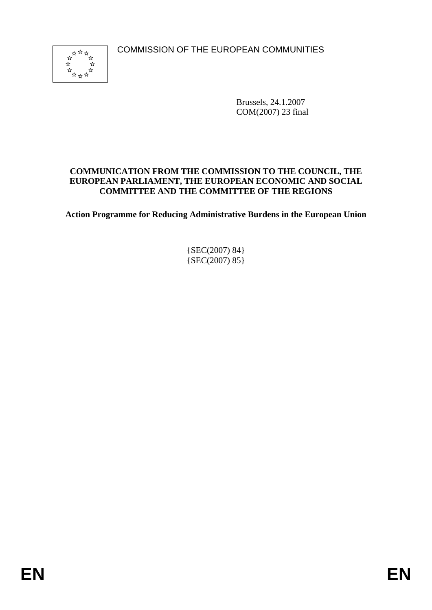COMMISSION OF THE EUROPEAN COMMUNITIES



Brussels, 24.1.2007 COM(2007) 23 final

#### **COMMUNICATION FROM THE COMMISSION TO THE COUNCIL, THE EUROPEAN PARLIAMENT, THE EUROPEAN ECONOMIC AND SOCIAL COMMITTEE AND THE COMMITTEE OF THE REGIONS**

**Action Programme for Reducing Administrative Burdens in the European Union** 

{SEC(2007) 84}  ${SEC(2007) 85}$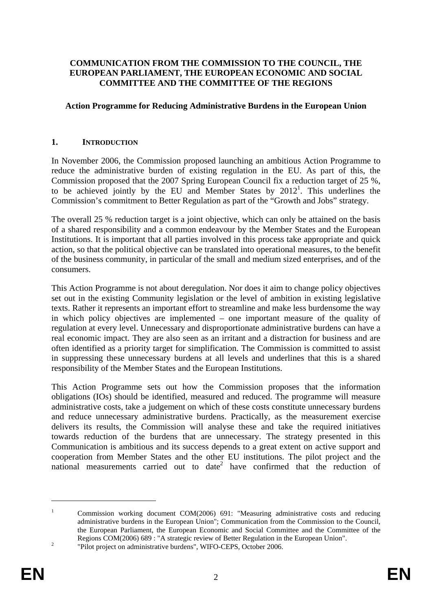#### **COMMUNICATION FROM THE COMMISSION TO THE COUNCIL, THE EUROPEAN PARLIAMENT, THE EUROPEAN ECONOMIC AND SOCIAL COMMITTEE AND THE COMMITTEE OF THE REGIONS**

#### **Action Programme for Reducing Administrative Burdens in the European Union**

#### **1. INTRODUCTION**

In November 2006, the Commission proposed launching an ambitious Action Programme to reduce the administrative burden of existing regulation in the EU. As part of this, the Commission proposed that the 2007 Spring European Council fix a reduction target of 25 %, to be achieved jointly by the EU and Member States by  $2012<sup>1</sup>$ . This underlines the Commission's commitment to Better Regulation as part of the "Growth and Jobs" strategy.

The overall 25 % reduction target is a joint objective, which can only be attained on the basis of a shared responsibility and a common endeavour by the Member States and the European Institutions. It is important that all parties involved in this process take appropriate and quick action, so that the political objective can be translated into operational measures, to the benefit of the business community, in particular of the small and medium sized enterprises, and of the consumers.

This Action Programme is not about deregulation. Nor does it aim to change policy objectives set out in the existing Community legislation or the level of ambition in existing legislative texts. Rather it represents an important effort to streamline and make less burdensome the way in which policy objectives are implemented – one important measure of the quality of regulation at every level. Unnecessary and disproportionate administrative burdens can have a real economic impact. They are also seen as an irritant and a distraction for business and are often identified as a priority target for simplification. The Commission is committed to assist in suppressing these unnecessary burdens at all levels and underlines that this is a shared responsibility of the Member States and the European Institutions.

This Action Programme sets out how the Commission proposes that the information obligations (IOs) should be identified, measured and reduced. The programme will measure administrative costs, take a judgement on which of these costs constitute unnecessary burdens and reduce unnecessary administrative burdens. Practically, as the measurement exercise delivers its results, the Commission will analyse these and take the required initiatives towards reduction of the burdens that are unnecessary. The strategy presented in this Communication is ambitious and its success depends to a great extent on active support and cooperation from Member States and the other EU institutions. The pilot project and the national measurements carried out to date<sup>2</sup> have confirmed that the reduction of

<sup>1</sup> Commission working document COM(2006) 691: "Measuring administrative costs and reducing administrative burdens in the European Union"; Communication from the Commission to the Council, the European Parliament, the European Economic and Social Committee and the Committee of the Regions COM(2006) 689 : "A strategic review of Better Regulation in the European Union".

 <sup>&</sup>quot;Pilot project on administrative burdens", WIFO-CEPS, October 2006.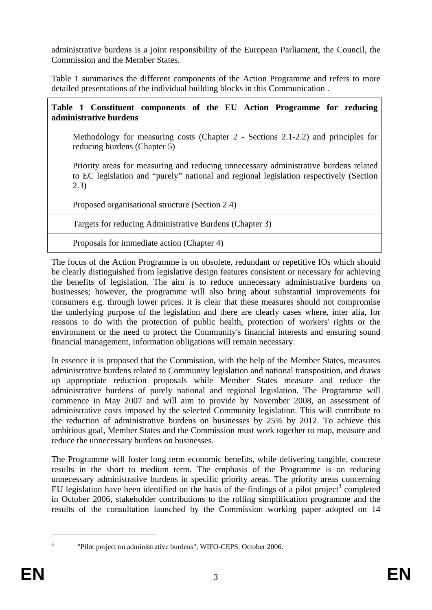administrative burdens is a joint responsibility of the European Parliament, the Council, the Commission and the Member States.

Table 1 summarises the different components of the Action Programme and refers to more detailed presentations of the individual building blocks in this Communication .

| Table 1 Constituent components of the EU Action Programme for reducing<br>administrative burdens |                                                                                                                                                                                         |  |
|--------------------------------------------------------------------------------------------------|-----------------------------------------------------------------------------------------------------------------------------------------------------------------------------------------|--|
|                                                                                                  | Methodology for measuring costs (Chapter 2 - Sections 2.1-2.2) and principles for<br>reducing burdens (Chapter 5)                                                                       |  |
|                                                                                                  | Priority areas for measuring and reducing unnecessary administrative burdens related<br>to EC legislation and "purely" national and regional legislation respectively (Section<br>(2.3) |  |
|                                                                                                  | Proposed organisational structure (Section 2.4)                                                                                                                                         |  |
|                                                                                                  | Targets for reducing Administrative Burdens (Chapter 3)                                                                                                                                 |  |
|                                                                                                  | Proposals for immediate action (Chapter 4)                                                                                                                                              |  |

The focus of the Action Programme is on obsolete, redundant or repetitive IOs which should be clearly distinguished from legislative design features consistent or necessary for achieving the benefits of legislation. The aim is to reduce unnecessary administrative burdens on businesses; however, the programme will also bring about substantial improvements for consumers e.g. through lower prices. It is clear that these measures should not compromise the underlying purpose of the legislation and there are clearly cases where, inter alia, for reasons to do with the protection of public health, protection of workers' rights or the environment or the need to protect the Community's financial interests and ensuring sound financial management, information obligations will remain necessary.

In essence it is proposed that the Commission, with the help of the Member States, measures administrative burdens related to Community legislation and national transposition, and draws up appropriate reduction proposals while Member States measure and reduce the administrative burdens of purely national and regional legislation. The Programme will commence in May 2007 and will aim to provide by November 2008, an assessment of administrative costs imposed by the selected Community legislation. This will contribute to the reduction of administrative burdens on businesses by 25% by 2012. To achieve this ambitious goal, Member States and the Commission must work together to map, measure and reduce the unnecessary burdens on businesses.

The Programme will foster long term economic benefits, while delivering tangible, concrete results in the short to medium term. The emphasis of the Programme is on reducing unnecessary administrative burdens in specific priority areas. The priority areas concerning EU legislation have been identified on the basis of the findings of a pilot project<sup>3</sup> completed in October 2006, stakeholder contributions to the rolling simplification programme and the results of the consultation launched by the Commission working paper adopted on 14

 <sup>&</sup>quot;Pilot project on administrative burdens", WIFO-CEPS, October 2006.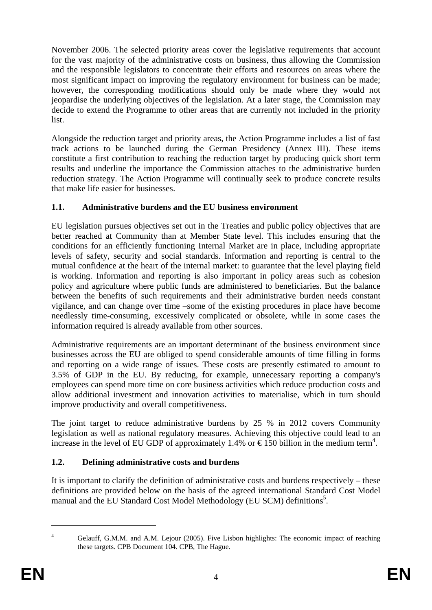November 2006. The selected priority areas cover the legislative requirements that account for the vast majority of the administrative costs on business, thus allowing the Commission and the responsible legislators to concentrate their efforts and resources on areas where the most significant impact on improving the regulatory environment for business can be made; however, the corresponding modifications should only be made where they would not jeopardise the underlying objectives of the legislation. At a later stage, the Commission may decide to extend the Programme to other areas that are currently not included in the priority list.

Alongside the reduction target and priority areas, the Action Programme includes a list of fast track actions to be launched during the German Presidency (Annex III). These items constitute a first contribution to reaching the reduction target by producing quick short term results and underline the importance the Commission attaches to the administrative burden reduction strategy. The Action Programme will continually seek to produce concrete results that make life easier for businesses.

## **1.1. Administrative burdens and the EU business environment**

EU legislation pursues objectives set out in the Treaties and public policy objectives that are better reached at Community than at Member State level. This includes ensuring that the conditions for an efficiently functioning Internal Market are in place, including appropriate levels of safety, security and social standards. Information and reporting is central to the mutual confidence at the heart of the internal market: to guarantee that the level playing field is working. Information and reporting is also important in policy areas such as cohesion policy and agriculture where public funds are administered to beneficiaries. But the balance between the benefits of such requirements and their administrative burden needs constant vigilance, and can change over time –some of the existing procedures in place have become needlessly time-consuming, excessively complicated or obsolete, while in some cases the information required is already available from other sources.

Administrative requirements are an important determinant of the business environment since businesses across the EU are obliged to spend considerable amounts of time filling in forms and reporting on a wide range of issues. These costs are presently estimated to amount to 3.5% of GDP in the EU. By reducing, for example, unnecessary reporting a company's employees can spend more time on core business activities which reduce production costs and allow additional investment and innovation activities to materialise, which in turn should improve productivity and overall competitiveness.

The joint target to reduce administrative burdens by 25 % in 2012 covers Community legislation as well as national regulatory measures. Achieving this objective could lead to an increase in the level of EU GDP of approximately 1.4% or  $\epsilon$ 150 billion in the medium term<sup>4</sup>.

## **1.2. Defining administrative costs and burdens**

It is important to clarify the definition of administrative costs and burdens respectively – these definitions are provided below on the basis of the agreed international Standard Cost Model manual and the EU Standard Cost Model Methodology (EU SCM) definitions<sup>5</sup>.

<sup>1</sup> 4

Gelauff, G.M.M. and A.M. Lejour (2005). Five Lisbon highlights: The economic impact of reaching these targets. CPB Document 104. CPB, The Hague.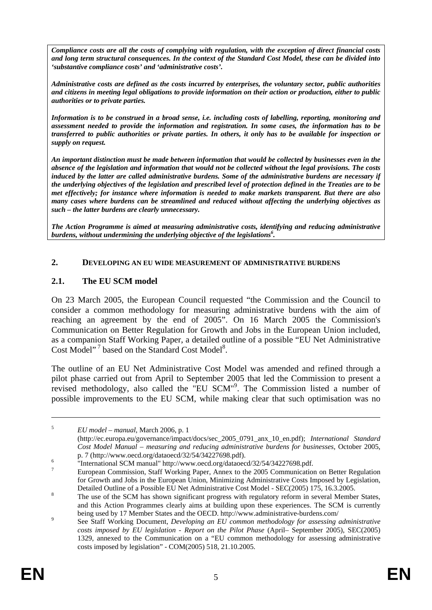*Compliance costs are all the costs of complying with regulation, with the exception of direct financial costs and long term structural consequences. In the context of the Standard Cost Model, these can be divided into 'substantive compliance costs' and 'administrative costs'.* 

*Administrative costs are defined as the costs incurred by enterprises, the voluntary sector, public authorities and citizens in meeting legal obligations to provide information on their action or production, either to public authorities or to private parties.* 

*Information is to be construed in a broad sense, i.e. including costs of labelling, reporting, monitoring and assessment needed to provide the information and registration. In some cases, the information has to be transferred to public authorities or private parties. In others, it only has to be available for inspection or supply on request.* 

*An important distinction must be made between information that would be collected by businesses even in the absence of the legislation and information that would not be collected without the legal provisions. The costs induced by the latter are called administrative burdens. Some of the administrative burdens are necessary if the underlying objectives of the legislation and prescribed level of protection defined in the Treaties are to be met effectively; for instance where information is needed to make markets transparent. But there are also many cases where burdens can be streamlined and reduced without affecting the underlying objectives as such – the latter burdens are clearly unnecessary.* 

*The Action Programme is aimed at measuring administrative costs, identifying and reducing administrative burdens, without undermining the underlying objective of the legislations6 .* 

#### **2. DEVELOPING AN EU WIDE MEASUREMENT OF ADMINISTRATIVE BURDENS**

## **2.1. The EU SCM model**

On 23 March 2005, the European Council requested "the Commission and the Council to consider a common methodology for measuring administrative burdens with the aim of reaching an agreement by the end of 2005". On 16 March 2005 the Commission's Communication on Better Regulation for Growth and Jobs in the European Union included, as a companion Staff Working Paper, a detailed outline of a possible "EU Net Administrative Cost Model"<sup>7</sup> based on the Standard Cost Model<sup>8</sup>.

The outline of an EU Net Administrative Cost Model was amended and refined through a pilot phase carried out from April to September 2005 that led the Commission to present a revised methodology, also called the "EU SCM"<sup>9</sup>. The Commission listed a number of possible improvements to the EU SCM, while making clear that such optimisation was no

<sup>5</sup> *EU model – manual*, March 2006, p. 1

<sup>(</sup>http://ec.europa.eu/governance/impact/docs/sec\_2005\_0791\_anx\_10\_en.pdf); *International Standard Cost Model Manual – measuring and reducing administrative burdens for businesses*, October 2005, p. 7 (http://www.oecd.org/dataoecd/32/54/34227698.pdf).

 <sup>&</sup>quot;International SCM manual" http://www.oecd.org/dataoecd/32/54/34227698.pdf.

<sup>7</sup> European Commission, Staff Working Paper, Annex to the 2005 Communication on Better Regulation for Growth and Jobs in the European Union, Minimizing Administrative Costs Imposed by Legislation, Detailed Outline of a Possible EU Net Administrative Cost Model - SEC(2005) 175, 16.3.2005.

The use of the SCM has shown significant progress with regulatory reform in several Member States, and this Action Programmes clearly aims at building upon these experiences. The SCM is currently being used by 17 Member States and the OECD. http://www.administrative-burdens.com/

See Staff Working Document, *Developing an EU common methodology for assessing administrative costs imposed by EU legislation - Report on the Pilot Phase* (April– September 2005), SEC(2005) 1329, annexed to the Communication on a "EU common methodology for assessing administrative costs imposed by legislation" - COM(2005) 518, 21.10.2005.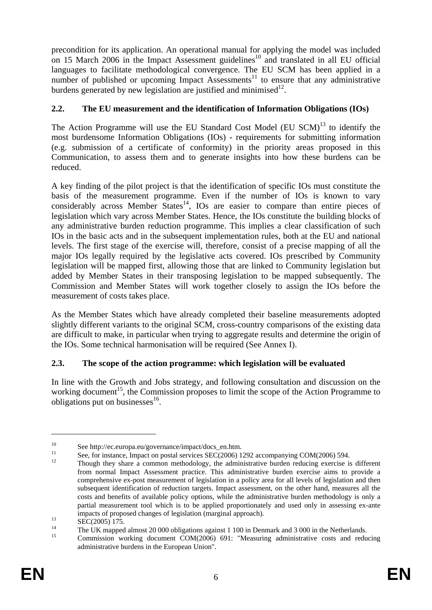precondition for its application. An operational manual for applying the model was included on 15 March 2006 in the Impact Assessment guidelines<sup>10</sup> and translated in all EU official languages to facilitate methodological convergence. The EU SCM has been applied in a number of published or upcoming Impact Assessments<sup>11</sup> to ensure that any administrative burdens generated by new legislation are justified and minimised<sup>12</sup>.

## **2.2. The EU measurement and the identification of Information Obligations (IOs)**

The Action Programme will use the EU Standard Cost Model (EU  $SCM$ )<sup>13</sup> to identify the most burdensome Information Obligations (IOs) - requirements for submitting information (e.g. submission of a certificate of conformity) in the priority areas proposed in this Communication, to assess them and to generate insights into how these burdens can be reduced.

A key finding of the pilot project is that the identification of specific IOs must constitute the basis of the measurement programme. Even if the number of IOs is known to vary considerably across Member States<sup>14</sup>, IOs are easier to compare than entire pieces of legislation which vary across Member States. Hence, the IOs constitute the building blocks of any administrative burden reduction programme. This implies a clear classification of such IOs in the basic acts and in the subsequent implementation rules, both at the EU and national levels. The first stage of the exercise will, therefore, consist of a precise mapping of all the major IOs legally required by the legislative acts covered. IOs prescribed by Community legislation will be mapped first, allowing those that are linked to Community legislation but added by Member States in their transposing legislation to be mapped subsequently. The Commission and Member States will work together closely to assign the IOs before the measurement of costs takes place.

As the Member States which have already completed their baseline measurements adopted slightly different variants to the original SCM, cross-country comparisons of the existing data are difficult to make, in particular when trying to aggregate results and determine the origin of the IOs. Some technical harmonisation will be required (See Annex I).

## **2.3. The scope of the action programme: which legislation will be evaluated**

In line with the Growth and Jobs strategy, and following consultation and discussion on the working document<sup>15</sup>, the Commission proposes to limit the scope of the Action Programme to obligations put on businesses $^{16}$ .

<sup>&</sup>lt;sup>10</sup><br>See http://ec.europa.eu/governance/impact/docs\_en.htm.<br>See, for instance, Impact on postal services SEC(2006) 1292 accompanying COM(2006) 594.<br>Though they share a common methodology, the administrative burden reducin

from normal Impact Assessment practice. This administrative burden exercise aims to provide a comprehensive ex-post measurement of legislation in a policy area for all levels of legislation and then subsequent identification of reduction targets. Impact assessment, on the other hand, measures all the costs and benefits of available policy options, while the administrative burden methodology is only a partial measurement tool which is to be applied proportionately and used only in assessing ex-ante impacts of proposed changes of legislation (marginal approach).<br>SEC(2005) 175.

<sup>&</sup>lt;sup>14</sup> The UK mapped almost 20 000 obligations against 1 100 in Denmark and 3 000 in the Netherlands.<br>Commission working decument  $COM(2006)$ , 601. "Measuring administrative agets and redu-

<sup>15</sup> Commission working document COM(2006) 691: "Measuring administrative costs and reducing administrative burdens in the European Union".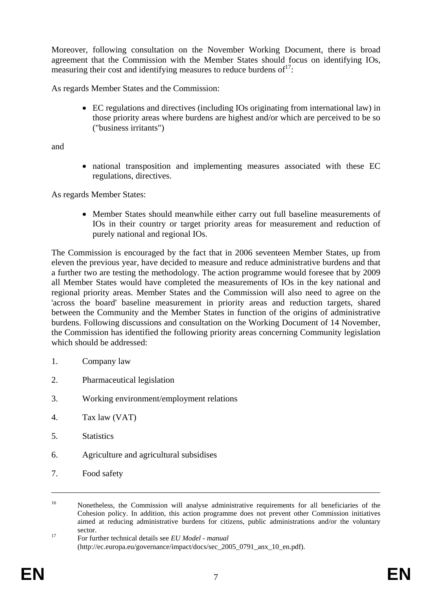Moreover, following consultation on the November Working Document, there is broad agreement that the Commission with the Member States should focus on identifying IOs, measuring their cost and identifying measures to reduce burdens of  $17$ :

As regards Member States and the Commission:

• EC regulations and directives (including IOs originating from international law) in those priority areas where burdens are highest and/or which are perceived to be so ("business irritants")

and

• national transposition and implementing measures associated with these EC regulations, directives.

As regards Member States:

• Member States should meanwhile either carry out full baseline measurements of IOs in their country or target priority areas for measurement and reduction of purely national and regional IOs.

The Commission is encouraged by the fact that in 2006 seventeen Member States, up from eleven the previous year, have decided to measure and reduce administrative burdens and that a further two are testing the methodology. The action programme would foresee that by 2009 all Member States would have completed the measurements of IOs in the key national and regional priority areas. Member States and the Commission will also need to agree on the 'across the board' baseline measurement in priority areas and reduction targets, shared between the Community and the Member States in function of the origins of administrative burdens. Following discussions and consultation on the Working Document of 14 November, the Commission has identified the following priority areas concerning Community legislation which should be addressed:

- 1. Company law
- 2. Pharmaceutical legislation
- 3. Working environment/employment relations
- 4. Tax law (VAT)
- 5. Statistics
- 6. Agriculture and agricultural subsidises
- 7. Food safety

<sup>&</sup>lt;sup>16</sup> Nonetheless, the Commission will analyse administrative requirements for all beneficiaries of the Cohesion policy. In addition, this action programme does not prevent other Commission initiatives aimed at reducing administrative burdens for citizens, public administrations and/or the voluntary sector.<br><sup>17</sup> For further technical details see *EU Model - manual* 

<sup>(</sup>http://ec.europa.eu/governance/impact/docs/sec\_2005\_0791\_anx\_10\_en.pdf).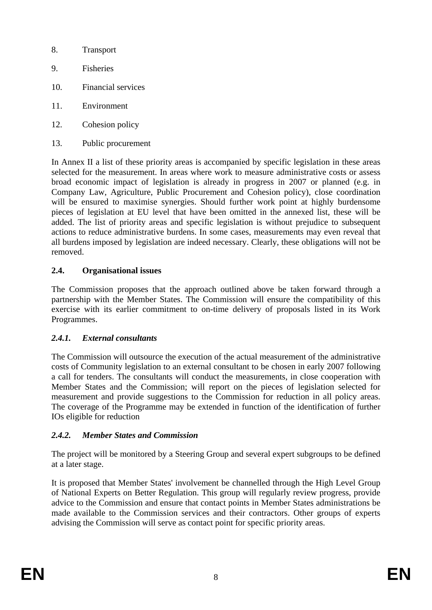- 8. Transport
- 9. Fisheries
- 10. Financial services
- 11. Environment
- 12. Cohesion policy
- 13. Public procurement

In Annex II a list of these priority areas is accompanied by specific legislation in these areas selected for the measurement. In areas where work to measure administrative costs or assess broad economic impact of legislation is already in progress in 2007 or planned (e.g. in Company Law, Agriculture, Public Procurement and Cohesion policy), close coordination will be ensured to maximise synergies. Should further work point at highly burdensome pieces of legislation at EU level that have been omitted in the annexed list, these will be added. The list of priority areas and specific legislation is without prejudice to subsequent actions to reduce administrative burdens. In some cases, measurements may even reveal that all burdens imposed by legislation are indeed necessary. Clearly, these obligations will not be removed.

## **2.4. Organisational issues**

The Commission proposes that the approach outlined above be taken forward through a partnership with the Member States. The Commission will ensure the compatibility of this exercise with its earlier commitment to on-time delivery of proposals listed in its Work Programmes.

## *2.4.1. External consultants*

The Commission will outsource the execution of the actual measurement of the administrative costs of Community legislation to an external consultant to be chosen in early 2007 following a call for tenders. The consultants will conduct the measurements, in close cooperation with Member States and the Commission; will report on the pieces of legislation selected for measurement and provide suggestions to the Commission for reduction in all policy areas. The coverage of the Programme may be extended in function of the identification of further IOs eligible for reduction

## *2.4.2. Member States and Commission*

The project will be monitored by a Steering Group and several expert subgroups to be defined at a later stage.

It is proposed that Member States' involvement be channelled through the High Level Group of National Experts on Better Regulation. This group will regularly review progress, provide advice to the Commission and ensure that contact points in Member States administrations be made available to the Commission services and their contractors. Other groups of experts advising the Commission will serve as contact point for specific priority areas.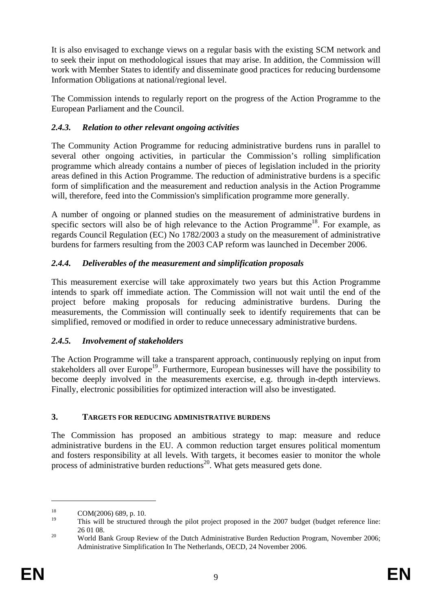It is also envisaged to exchange views on a regular basis with the existing SCM network and to seek their input on methodological issues that may arise. In addition, the Commission will work with Member States to identify and disseminate good practices for reducing burdensome Information Obligations at national/regional level.

The Commission intends to regularly report on the progress of the Action Programme to the European Parliament and the Council.

## *2.4.3. Relation to other relevant ongoing activities*

The Community Action Programme for reducing administrative burdens runs in parallel to several other ongoing activities, in particular the Commission's rolling simplification programme which already contains a number of pieces of legislation included in the priority areas defined in this Action Programme. The reduction of administrative burdens is a specific form of simplification and the measurement and reduction analysis in the Action Programme will, therefore, feed into the Commission's simplification programme more generally.

A number of ongoing or planned studies on the measurement of administrative burdens in specific sectors will also be of high relevance to the Action Programme<sup>18</sup>. For example, as regards Council Regulation (EC) No 1782/2003 a study on the measurement of administrative burdens for farmers resulting from the 2003 CAP reform was launched in December 2006.

## *2.4.4. Deliverables of the measurement and simplification proposals*

This measurement exercise will take approximately two years but this Action Programme intends to spark off immediate action. The Commission will not wait until the end of the project before making proposals for reducing administrative burdens. During the measurements, the Commission will continually seek to identify requirements that can be simplified, removed or modified in order to reduce unnecessary administrative burdens.

## *2.4.5. Involvement of stakeholders*

The Action Programme will take a transparent approach, continuously replying on input from stakeholders all over Europe<sup>19</sup>. Furthermore, European businesses will have the possibility to become deeply involved in the measurements exercise, e.g. through in-depth interviews. Finally, electronic possibilities for optimized interaction will also be investigated.

## **3. TARGETS FOR REDUCING ADMINISTRATIVE BURDENS**

The Commission has proposed an ambitious strategy to map: measure and reduce administrative burdens in the EU. A common reduction target ensures political momentum and fosters responsibility at all levels. With targets, it becomes easier to monitor the whole process of administrative burden reductions<sup>20</sup>. What gets measured gets done.

 $^{18}$  COM(2006) 689, p. 10.

This will be structured through the pilot project proposed in the 2007 budget (budget reference line: <sup>20</sup> 26 01 08.<br><sup>20</sup> World Bank Group Review of the Dutch Administrative Burden Reduction Program, November 2006;

Administrative Simplification In The Netherlands, OECD, 24 November 2006.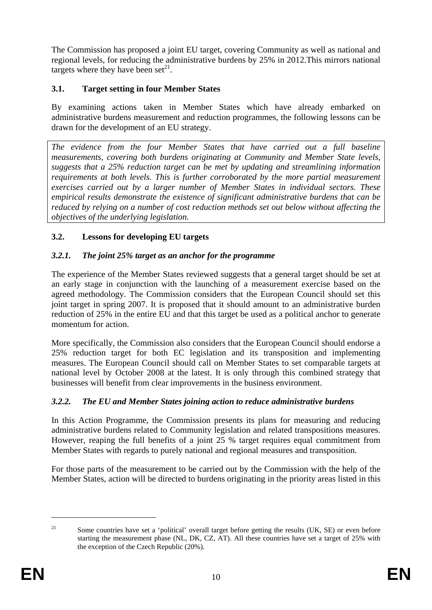The Commission has proposed a joint EU target, covering Community as well as national and regional levels, for reducing the administrative burdens by 25% in 2012.This mirrors national targets where they have been set $^{21}$ .

## **3.1. Target setting in four Member States**

By examining actions taken in Member States which have already embarked on administrative burdens measurement and reduction programmes, the following lessons can be drawn for the development of an EU strategy.

*The evidence from the four Member States that have carried out a full baseline measurements, covering both burdens originating at Community and Member State levels, suggests that a 25% reduction target can be met by updating and streamlining information requirements at both levels. This is further corroborated by the more partial measurement exercises carried out by a larger number of Member States in individual sectors. These empirical results demonstrate the existence of significant administrative burdens that can be reduced by relying on a number of cost reduction methods set out below without affecting the objectives of the underlying legislation.* 

## **3.2. Lessons for developing EU targets**

## *3.2.1. The joint 25% target as an anchor for the programme*

The experience of the Member States reviewed suggests that a general target should be set at an early stage in conjunction with the launching of a measurement exercise based on the agreed methodology. The Commission considers that the European Council should set this joint target in spring 2007. It is proposed that it should amount to an administrative burden reduction of 25% in the entire EU and that this target be used as a political anchor to generate momentum for action.

More specifically, the Commission also considers that the European Council should endorse a 25% reduction target for both EC legislation and its transposition and implementing measures. The European Council should call on Member States to set comparable targets at national level by October 2008 at the latest. It is only through this combined strategy that businesses will benefit from clear improvements in the business environment.

## *3.2.2. The EU and Member States joining action to reduce administrative burdens*

In this Action Programme, the Commission presents its plans for measuring and reducing administrative burdens related to Community legislation and related transpositions measures. However, reaping the full benefits of a joint 25 % target requires equal commitment from Member States with regards to purely national and regional measures and transposition.

For those parts of the measurement to be carried out by the Commission with the help of the Member States, action will be directed to burdens originating in the priority areas listed in this

<sup>&</sup>lt;u>.</u>

<sup>&</sup>lt;sup>21</sup> Some countries have set a 'political' overall target before getting the results (UK, SE) or even before starting the measurement phase (NL, DK, CZ, AT). All these countries have set a target of 25% with the exception of the Czech Republic (20%).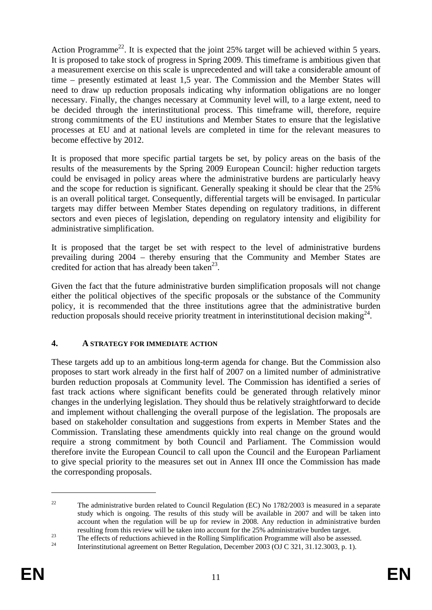Action Programme<sup>22</sup>. It is expected that the joint  $25\%$  target will be achieved within 5 years. It is proposed to take stock of progress in Spring 2009. This timeframe is ambitious given that a measurement exercise on this scale is unprecedented and will take a considerable amount of time – presently estimated at least 1,5 year. The Commission and the Member States will need to draw up reduction proposals indicating why information obligations are no longer necessary. Finally, the changes necessary at Community level will, to a large extent, need to be decided through the interinstitutional process. This timeframe will, therefore, require strong commitments of the EU institutions and Member States to ensure that the legislative processes at EU and at national levels are completed in time for the relevant measures to become effective by 2012.

It is proposed that more specific partial targets be set, by policy areas on the basis of the results of the measurements by the Spring 2009 European Council: higher reduction targets could be envisaged in policy areas where the administrative burdens are particularly heavy and the scope for reduction is significant. Generally speaking it should be clear that the 25% is an overall political target. Consequently, differential targets will be envisaged. In particular targets may differ between Member States depending on regulatory traditions, in different sectors and even pieces of legislation, depending on regulatory intensity and eligibility for administrative simplification.

It is proposed that the target be set with respect to the level of administrative burdens prevailing during 2004 – thereby ensuring that the Community and Member States are credited for action that has already been taken<sup>23</sup>.

Given the fact that the future administrative burden simplification proposals will not change either the political objectives of the specific proposals or the substance of the Community policy, it is recommended that the three institutions agree that the administrative burden reduction proposals should receive priority treatment in interinstitutional decision making $^{24}$ .

## **4. A STRATEGY FOR IMMEDIATE ACTION**

These targets add up to an ambitious long-term agenda for change. But the Commission also proposes to start work already in the first half of 2007 on a limited number of administrative burden reduction proposals at Community level. The Commission has identified a series of fast track actions where significant benefits could be generated through relatively minor changes in the underlying legislation. They should thus be relatively straightforward to decide and implement without challenging the overall purpose of the legislation. The proposals are based on stakeholder consultation and suggestions from experts in Member States and the Commission. Translating these amendments quickly into real change on the ground would require a strong commitment by both Council and Parliament. The Commission would therefore invite the European Council to call upon the Council and the European Parliament to give special priority to the measures set out in Annex III once the Commission has made the corresponding proposals.

<sup>&</sup>lt;sup>22</sup> The administrative burden related to Council Regulation (EC) No  $1782/2003$  is measured in a separate study which is ongoing. The results of this study will be available in 2007 and will be taken into account when the regulation will be up for review in 2008. Any reduction in administrative burden

resulting from this review will be taken into account for the 25% administrative burden target.<br>The effects of reductions achieved in the Rolling Simplification Programme will also be assessed.<br>Interinstitutional agreement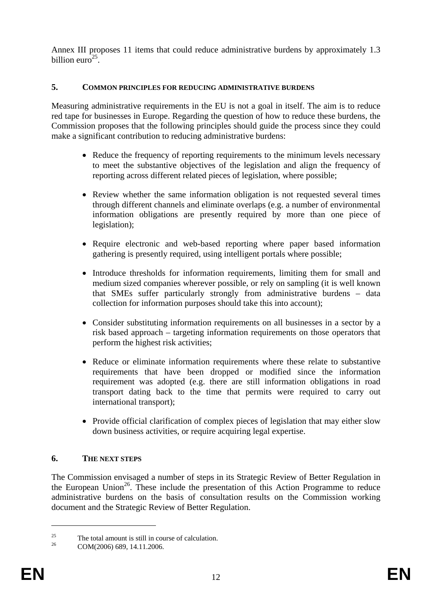Annex III proposes 11 items that could reduce administrative burdens by approximately 1.3 billion euro $^{25}$ .

#### **5. COMMON PRINCIPLES FOR REDUCING ADMINISTRATIVE BURDENS**

Measuring administrative requirements in the EU is not a goal in itself. The aim is to reduce red tape for businesses in Europe. Regarding the question of how to reduce these burdens, the Commission proposes that the following principles should guide the process since they could make a significant contribution to reducing administrative burdens:

- Reduce the frequency of reporting requirements to the minimum levels necessary to meet the substantive objectives of the legislation and align the frequency of reporting across different related pieces of legislation, where possible;
- Review whether the same information obligation is not requested several times through different channels and eliminate overlaps (e.g. a number of environmental information obligations are presently required by more than one piece of legislation);
- Require electronic and web-based reporting where paper based information gathering is presently required, using intelligent portals where possible;
- Introduce thresholds for information requirements, limiting them for small and medium sized companies wherever possible, or rely on sampling (it is well known that SMEs suffer particularly strongly from administrative burdens – data collection for information purposes should take this into account);
- Consider substituting information requirements on all businesses in a sector by a risk based approach – targeting information requirements on those operators that perform the highest risk activities;
- Reduce or eliminate information requirements where these relate to substantive requirements that have been dropped or modified since the information requirement was adopted (e.g. there are still information obligations in road transport dating back to the time that permits were required to carry out international transport);
- Provide official clarification of complex pieces of legislation that may either slow down business activities, or require acquiring legal expertise.

#### **6. THE NEXT STEPS**

The Commission envisaged a number of steps in its Strategic Review of Better Regulation in the European Union<sup>26</sup>. These include the presentation of this Action Programme to reduce administrative burdens on the basis of consultation results on the Commission working document and the Strategic Review of Better Regulation.

<sup>&</sup>lt;sup>25</sup> The total amount is still in course of calculation.<br>  $26$  COM/2006  $\leq 80.14112006$ 

COM(2006) 689, 14.11.2006.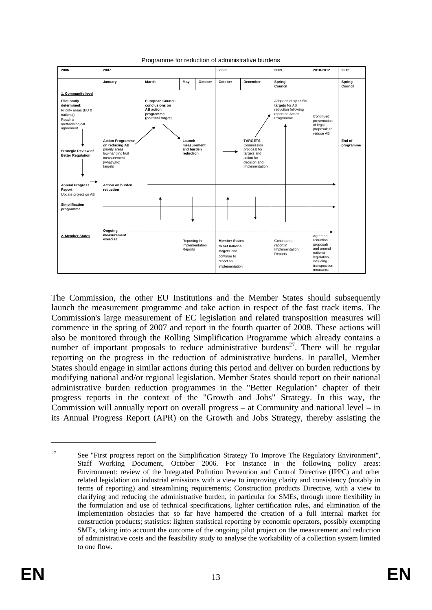

#### Programme for reduction of administrative burdens

The Commission, the other EU Institutions and the Member States should subsequently launch the measurement programme and take action in respect of the fast track items. The Commission's large measurement of EC legislation and related transposition measures will commence in the spring of 2007 and report in the fourth quarter of 2008. These actions will also be monitored through the Rolling Simplification Programme which already contains a number of important proposals to reduce administrative burdens<sup>27</sup>. There will be regular reporting on the progress in the reduction of administrative burdens. In parallel, Member States should engage in similar actions during this period and deliver on burden reductions by modifying national and/or regional legislation. Member States should report on their national administrative burden reduction programmes in the "Better Regulation" chapter of their progress reports in the context of the "Growth and Jobs" Strategy. In this way, the Commission will annually report on overall progress – at Community and national level – in its Annual Progress Report (APR) on the Growth and Jobs Strategy, thereby assisting the

<sup>&</sup>lt;sup>27</sup> See "First progress report on the Simplification Strategy To Improve The Regulatory Environment", Staff Working Document, October 2006. For instance in the following policy areas: Environment: review of the Integrated Pollution Prevention and Control Directive (IPPC) and other related legislation on industrial emissions with a view to improving clarity and consistency (notably in terms of reporting) and streamlining requirements; Construction products Directive, with a view to clarifying and reducing the administrative burden, in particular for SMEs, through more flexibility in the formulation and use of technical specifications, lighter certification rules, and elimination of the implementation obstacles that so far have hampered the creation of a full internal market for construction products; statistics: lighten statistical reporting by economic operators, possibly exempting SMEs, taking into account the outcome of the ongoing pilot project on the measurement and reduction of administrative costs and the feasibility study to analyse the workability of a collection system limited to one flow.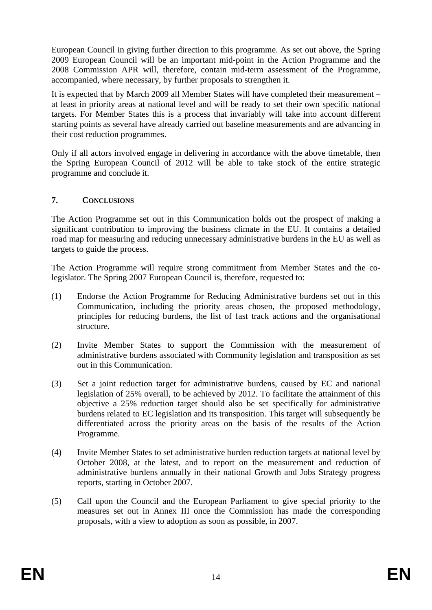European Council in giving further direction to this programme. As set out above, the Spring 2009 European Council will be an important mid-point in the Action Programme and the 2008 Commission APR will, therefore, contain mid-term assessment of the Programme, accompanied, where necessary, by further proposals to strengthen it.

It is expected that by March 2009 all Member States will have completed their measurement – at least in priority areas at national level and will be ready to set their own specific national targets. For Member States this is a process that invariably will take into account different starting points as several have already carried out baseline measurements and are advancing in their cost reduction programmes.

Only if all actors involved engage in delivering in accordance with the above timetable, then the Spring European Council of 2012 will be able to take stock of the entire strategic programme and conclude it.

## **7. CONCLUSIONS**

The Action Programme set out in this Communication holds out the prospect of making a significant contribution to improving the business climate in the EU. It contains a detailed road map for measuring and reducing unnecessary administrative burdens in the EU as well as targets to guide the process.

The Action Programme will require strong commitment from Member States and the colegislator. The Spring 2007 European Council is, therefore, requested to:

- (1) Endorse the Action Programme for Reducing Administrative burdens set out in this Communication, including the priority areas chosen, the proposed methodology, principles for reducing burdens, the list of fast track actions and the organisational structure.
- (2) Invite Member States to support the Commission with the measurement of administrative burdens associated with Community legislation and transposition as set out in this Communication.
- (3) Set a joint reduction target for administrative burdens, caused by EC and national legislation of 25% overall, to be achieved by 2012. To facilitate the attainment of this objective a 25% reduction target should also be set specifically for administrative burdens related to EC legislation and its transposition. This target will subsequently be differentiated across the priority areas on the basis of the results of the Action Programme.
- (4) Invite Member States to set administrative burden reduction targets at national level by October 2008, at the latest, and to report on the measurement and reduction of administrative burdens annually in their national Growth and Jobs Strategy progress reports, starting in October 2007.
- (5) Call upon the Council and the European Parliament to give special priority to the measures set out in Annex III once the Commission has made the corresponding proposals, with a view to adoption as soon as possible, in 2007.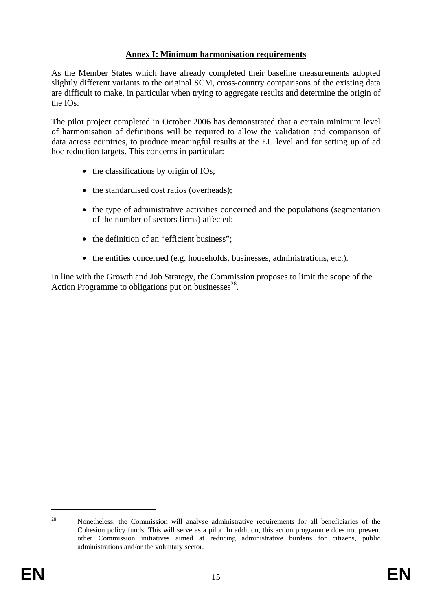## **Annex I: Minimum harmonisation requirements**

As the Member States which have already completed their baseline measurements adopted slightly different variants to the original SCM, cross-country comparisons of the existing data are difficult to make, in particular when trying to aggregate results and determine the origin of the IOs.

The pilot project completed in October 2006 has demonstrated that a certain minimum level of harmonisation of definitions will be required to allow the validation and comparison of data across countries, to produce meaningful results at the EU level and for setting up of ad hoc reduction targets. This concerns in particular:

- the classifications by origin of IOs;
- the standardised cost ratios (overheads);
- the type of administrative activities concerned and the populations (segmentation of the number of sectors firms) affected;
- the definition of an "efficient business";
- the entities concerned (e.g. households, businesses, administrations, etc.).

In line with the Growth and Job Strategy, the Commission proposes to limit the scope of the Action Programme to obligations put on businesses<sup>28</sup>.

<sup>&</sup>lt;sup>28</sup> Nonetheless, the Commission will analyse administrative requirements for all beneficiaries of the Cohesion policy funds. This will serve as a pilot. In addition, this action programme does not prevent other Commission initiatives aimed at reducing administrative burdens for citizens, public administrations and/or the voluntary sector.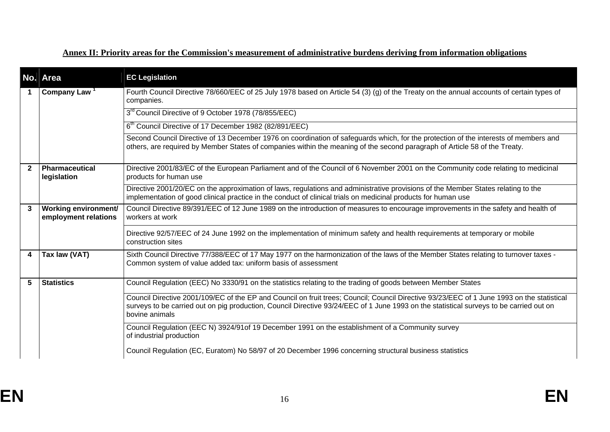## **Annex II: Priority areas for the Commission's measurement of administrative burdens deriving from information obligations**

|                | No. Area                                            | <b>EC Legislation</b>                                                                                                                                                                                                                                                                                   |
|----------------|-----------------------------------------------------|---------------------------------------------------------------------------------------------------------------------------------------------------------------------------------------------------------------------------------------------------------------------------------------------------------|
|                | Company Law <sup>1</sup>                            | Fourth Council Directive 78/660/EEC of 25 July 1978 based on Article 54 (3) (g) of the Treaty on the annual accounts of certain types of<br>companies.                                                                                                                                                  |
|                |                                                     | 3 <sup>rd</sup> Council Directive of 9 October 1978 (78/855/EEC)                                                                                                                                                                                                                                        |
|                |                                                     | 6 <sup>th</sup> Council Directive of 17 December 1982 (82/891/EEC)                                                                                                                                                                                                                                      |
|                |                                                     | Second Council Directive of 13 December 1976 on coordination of safeguards which, for the protection of the interests of members and<br>others, are required by Member States of companies within the meaning of the second paragraph of Article 58 of the Treaty.                                      |
| $\overline{2}$ | Pharmaceutical<br>legislation                       | Directive 2001/83/EC of the European Parliament and of the Council of 6 November 2001 on the Community code relating to medicinal<br>products for human use                                                                                                                                             |
|                |                                                     | Directive 2001/20/EC on the approximation of laws, regulations and administrative provisions of the Member States relating to the<br>implementation of good clinical practice in the conduct of clinical trials on medicinal products for human use                                                     |
| $\mathbf{3}$   | <b>Working environment/</b><br>employment relations | Council Directive 89/391/EEC of 12 June 1989 on the introduction of measures to encourage improvements in the safety and health of<br>workers at work                                                                                                                                                   |
|                |                                                     | Directive 92/57/EEC of 24 June 1992 on the implementation of minimum safety and health requirements at temporary or mobile<br>construction sites                                                                                                                                                        |
| 4              | Tax law (VAT)                                       | Sixth Council Directive 77/388/EEC of 17 May 1977 on the harmonization of the laws of the Member States relating to turnover taxes -<br>Common system of value added tax: uniform basis of assessment                                                                                                   |
| 5              | <b>Statistics</b>                                   | Council Regulation (EEC) No 3330/91 on the statistics relating to the trading of goods between Member States                                                                                                                                                                                            |
|                |                                                     | Council Directive 2001/109/EC of the EP and Council on fruit trees; Council; Council Directive 93/23/EEC of 1 June 1993 on the statistical<br>surveys to be carried out on pig production, Council Directive 93/24/EEC of 1 June 1993 on the statistical surveys to be carried out on<br>bovine animals |
|                |                                                     | Council Regulation (EEC N) 3924/91of 19 December 1991 on the establishment of a Community survey<br>of industrial production                                                                                                                                                                            |
|                |                                                     | Council Regulation (EC, Euratom) No 58/97 of 20 December 1996 concerning structural business statistics                                                                                                                                                                                                 |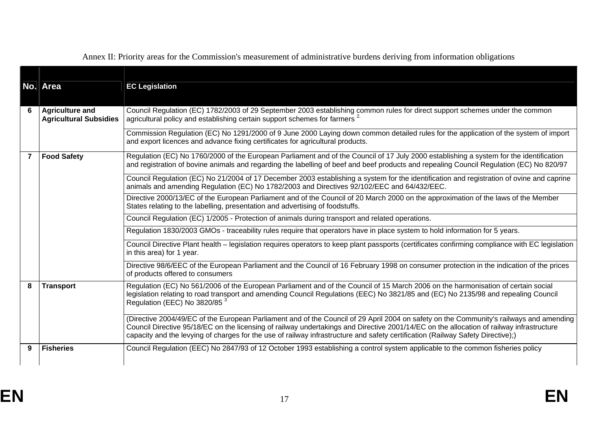|   | No. Area                                                | <b>EC Legislation</b>                                                                                                                                                                                                                                                                                                                                                                                                  |
|---|---------------------------------------------------------|------------------------------------------------------------------------------------------------------------------------------------------------------------------------------------------------------------------------------------------------------------------------------------------------------------------------------------------------------------------------------------------------------------------------|
| 6 | <b>Agriculture and</b><br><b>Agricultural Subsidies</b> | Council Regulation (EC) 1782/2003 of 29 September 2003 establishing common rules for direct support schemes under the common<br>agricultural policy and establishing certain support schemes for farmers <sup>2</sup>                                                                                                                                                                                                  |
|   |                                                         | Commission Regulation (EC) No 1291/2000 of 9 June 2000 Laying down common detailed rules for the application of the system of import<br>and export licences and advance fixing certificates for agricultural products.                                                                                                                                                                                                 |
|   | <b>Food Safety</b>                                      | Regulation (EC) No 1760/2000 of the European Parliament and of the Council of 17 July 2000 establishing a system for the identification<br>and registration of bovine animals and regarding the labelling of beef and beef products and repealing Council Regulation (EC) No 820/97                                                                                                                                    |
|   |                                                         | Council Regulation (EC) No 21/2004 of 17 December 2003 establishing a system for the identification and registration of ovine and caprine<br>animals and amending Regulation (EC) No 1782/2003 and Directives 92/102/EEC and 64/432/EEC.                                                                                                                                                                               |
|   |                                                         | Directive 2000/13/EC of the European Parliament and of the Council of 20 March 2000 on the approximation of the laws of the Member<br>States relating to the labelling, presentation and advertising of foodstuffs.                                                                                                                                                                                                    |
|   |                                                         | Council Regulation (EC) 1/2005 - Protection of animals during transport and related operations.                                                                                                                                                                                                                                                                                                                        |
|   |                                                         | Regulation 1830/2003 GMOs - traceability rules require that operators have in place system to hold information for 5 years.                                                                                                                                                                                                                                                                                            |
|   |                                                         | Council Directive Plant health – legislation requires operators to keep plant passports (certificates confirming compliance with EC legislation<br>in this area) for 1 year.                                                                                                                                                                                                                                           |
|   |                                                         | Directive 98/6/EEC of the European Parliament and the Council of 16 February 1998 on consumer protection in the indication of the prices<br>of products offered to consumers                                                                                                                                                                                                                                           |
| 8 | <b>Transport</b>                                        | Regulation (EC) No 561/2006 of the European Parliament and of the Council of 15 March 2006 on the harmonisation of certain social<br>legislation relating to road transport and amending Council Regulations (EEC) No 3821/85 and (EC) No 2135/98 and repealing Council<br>Regulation (EEC) No 3820/85 <sup>3</sup>                                                                                                    |
|   |                                                         | (Directive 2004/49/EC of the European Parliament and of the Council of 29 April 2004 on safety on the Community's railways and amending<br>Council Directive 95/18/EC on the licensing of railway undertakings and Directive 2001/14/EC on the allocation of railway infrastructure<br>capacity and the levying of charges for the use of railway infrastructure and safety certification (Railway Safety Directive);) |
| 9 | <b>Fisheries</b>                                        | Council Regulation (EEC) No 2847/93 of 12 October 1993 establishing a control system applicable to the common fisheries policy                                                                                                                                                                                                                                                                                         |

Annex II: Priority areas for the Commission's measurement of administrative burdens deriving from information obligations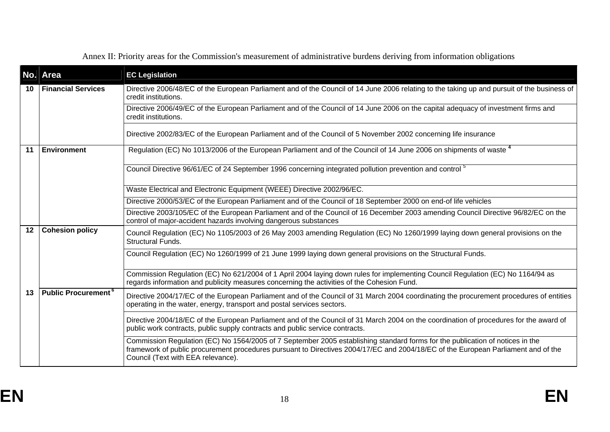|    | No. Area                              | <b>EC Legislation</b>                                                                                                                                                                                                                                                                                    |
|----|---------------------------------------|----------------------------------------------------------------------------------------------------------------------------------------------------------------------------------------------------------------------------------------------------------------------------------------------------------|
| 10 | <b>Financial Services</b>             | Directive 2006/48/EC of the European Parliament and of the Council of 14 June 2006 relating to the taking up and pursuit of the business of<br>credit institutions.                                                                                                                                      |
|    |                                       | Directive 2006/49/EC of the European Parliament and of the Council of 14 June 2006 on the capital adequacy of investment firms and<br>credit institutions.                                                                                                                                               |
|    |                                       | Directive 2002/83/EC of the European Parliament and of the Council of 5 November 2002 concerning life insurance                                                                                                                                                                                          |
| 11 | <b>Environment</b>                    | Regulation (EC) No 1013/2006 of the European Parliament and of the Council of 14 June 2006 on shipments of waste <sup>4</sup>                                                                                                                                                                            |
|    |                                       | Council Directive 96/61/EC of 24 September 1996 concerning integrated pollution prevention and control <sup>5</sup>                                                                                                                                                                                      |
|    |                                       | Waste Electrical and Electronic Equipment (WEEE) Directive 2002/96/EC.                                                                                                                                                                                                                                   |
|    |                                       | Directive 2000/53/EC of the European Parliament and of the Council of 18 September 2000 on end-of life vehicles                                                                                                                                                                                          |
|    |                                       | Directive 2003/105/EC of the European Parliament and of the Council of 16 December 2003 amending Council Directive 96/82/EC on the<br>control of major-accident hazards involving dangerous substances                                                                                                   |
| 12 | <b>Cohesion policy</b>                | Council Regulation (EC) No 1105/2003 of 26 May 2003 amending Regulation (EC) No 1260/1999 laying down general provisions on the<br><b>Structural Funds.</b>                                                                                                                                              |
|    |                                       | Council Regulation (EC) No 1260/1999 of 21 June 1999 laying down general provisions on the Structural Funds.                                                                                                                                                                                             |
|    |                                       | Commission Regulation (EC) No 621/2004 of 1 April 2004 laying down rules for implementing Council Regulation (EC) No 1164/94 as<br>regards information and publicity measures concerning the activities of the Cohesion Fund.                                                                            |
| 13 | <b>Public Procurement<sup>6</sup></b> | Directive 2004/17/EC of the European Parliament and of the Council of 31 March 2004 coordinating the procurement procedures of entities<br>operating in the water, energy, transport and postal services sectors.                                                                                        |
|    |                                       | Directive 2004/18/EC of the European Parliament and of the Council of 31 March 2004 on the coordination of procedures for the award of<br>public work contracts, public supply contracts and public service contracts.                                                                                   |
|    |                                       | Commission Regulation (EC) No 1564/2005 of 7 September 2005 establishing standard forms for the publication of notices in the<br>framework of public procurement procedures pursuant to Directives 2004/17/EC and 2004/18/EC of the European Parliament and of the<br>Council (Text with EEA relevance). |

Annex II: Priority areas for the Commission's measurement of administrative burdens deriving from information obligations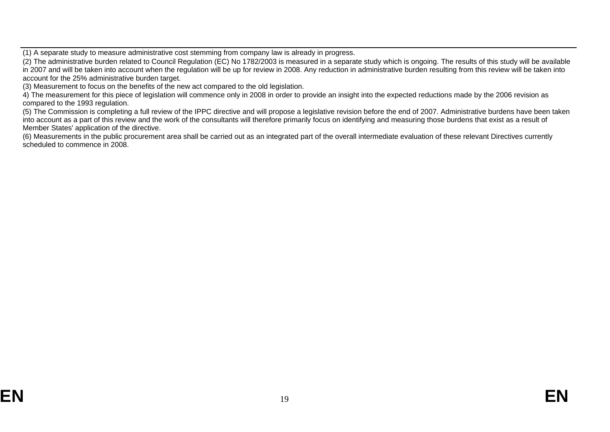(1) A separate study to measure administrative cost stemming from company law is already in progress.

(2) The administrative burden related to Council Regulation (EC) No 1782/2003 is measured in a separate study which is ongoing. The results of this study will be available in 2007 and will be taken into account when the regulation will be up for review in 2008. Any reduction in administrative burden resulting from this review will be taken into account for the 25% administrative burden target.

(3) Measurement to focus on the benefits of the new act compared to the old legislation.

4) The measurement for this piece of legislation will commence only in 2008 in order to provide an insight into the expected reductions made by the 2006 revision as compared to the 1993 regulation.

(5) The Commission is completing a full review of the IPPC directive and will propose a legislative revision before the end of 2007. Administrative burdens have been taken into account as a part of this review and the work of the consultants will therefore primarily focus on identifying and measuring those burdens that exist as a result of Member States' application of the directive.

(6) Measurements in the public procurement area shall be carried out as an integrated part of the overall intermediate evaluation of these relevant Directives currently scheduled to commence in 2008.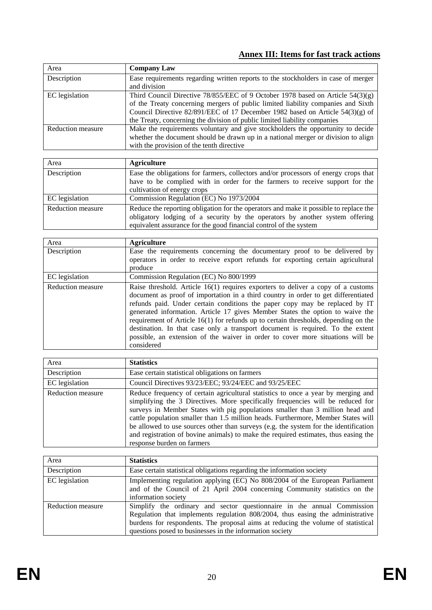# **Annex III: Items for fast track actions**

| Area              | <b>Company Law</b>                                                                |
|-------------------|-----------------------------------------------------------------------------------|
| Description       | Ease requirements regarding written reports to the stockholders in case of merger |
|                   | and division                                                                      |
| EC legislation    | Third Council Directive 78/855/EEC of 9 October 1978 based on Article $54(3)(g)$  |
|                   | of the Treaty concerning mergers of public limited liability companies and Sixth  |
|                   | Council Directive 82/891/EEC of 17 December 1982 based on Article $54(3)(g)$ of   |
|                   | the Treaty, concerning the division of public limited liability companies         |
| Reduction measure | Make the requirements voluntary and give stockholders the opportunity to decide   |
|                   | whether the document should be drawn up in a national merger or division to align |
|                   | with the provision of the tenth directive                                         |

| Area                     | <b>Agriculture</b>                                                                                                                                                                                                                         |
|--------------------------|--------------------------------------------------------------------------------------------------------------------------------------------------------------------------------------------------------------------------------------------|
| Description              | Ease the obligations for farmers, collectors and/or processors of energy crops that<br>have to be complied with in order for the farmers to receive support for the<br>cultivation of energy crops                                         |
| EC legislation           | Commission Regulation (EC) No 1973/2004                                                                                                                                                                                                    |
| <b>Reduction measure</b> | Reduce the reporting obligation for the operators and make it possible to replace the<br>obligatory lodging of a security by the operators by another system offering<br>equivalent assurance for the good financial control of the system |

| Area              | <b>Agriculture</b>                                                                                                                                                                                                                                                                                                                                                                                                                                                                                                                                                                                              |
|-------------------|-----------------------------------------------------------------------------------------------------------------------------------------------------------------------------------------------------------------------------------------------------------------------------------------------------------------------------------------------------------------------------------------------------------------------------------------------------------------------------------------------------------------------------------------------------------------------------------------------------------------|
| Description       | Ease the requirements concerning the documentary proof to be delivered by<br>operators in order to receive export refunds for exporting certain agricultural<br>produce                                                                                                                                                                                                                                                                                                                                                                                                                                         |
| EC legislation    | Commission Regulation (EC) No 800/1999                                                                                                                                                                                                                                                                                                                                                                                                                                                                                                                                                                          |
| Reduction measure | Raise threshold. Article 16(1) requires exporters to deliver a copy of a customs<br>document as proof of importation in a third country in order to get differentiated<br>refunds paid. Under certain conditions the paper copy may be replaced by IT<br>generated information. Article 17 gives Member States the option to waive the<br>requirement of Article 16(1) for refunds up to certain thresholds, depending on the<br>destination. In that case only a transport document is required. To the extent<br>possible, an extension of the waiver in order to cover more situations will be<br>considered |

| Area                     | <b>Statistics</b>                                                                                                                                                                                                                                                                                                                                                                                                                                                                                                                                       |
|--------------------------|---------------------------------------------------------------------------------------------------------------------------------------------------------------------------------------------------------------------------------------------------------------------------------------------------------------------------------------------------------------------------------------------------------------------------------------------------------------------------------------------------------------------------------------------------------|
| Description              | Ease certain statistical obligations on farmers                                                                                                                                                                                                                                                                                                                                                                                                                                                                                                         |
| EC legislation           | Council Directives 93/23/EEC; 93/24/EEC and 93/25/EEC                                                                                                                                                                                                                                                                                                                                                                                                                                                                                                   |
| <b>Reduction measure</b> | Reduce frequency of certain agricultural statistics to once a year by merging and<br>simplifying the 3 Directives. More specifically frequencies will be reduced for<br>surveys in Member States with pig populations smaller than 3 million head and<br>cattle population smaller than 1.5 million heads. Furthermore, Member States will<br>be allowed to use sources other than surveys (e.g. the system for the identification<br>and registration of bovine animals) to make the required estimates, thus easing the<br>response burden on farmers |

| Area                     | <b>Statistics</b>                                                                                                                                                                                                                                                                                         |
|--------------------------|-----------------------------------------------------------------------------------------------------------------------------------------------------------------------------------------------------------------------------------------------------------------------------------------------------------|
| Description              | Ease certain statistical obligations regarding the information society                                                                                                                                                                                                                                    |
| EC legislation           | Implementing regulation applying (EC) No 808/2004 of the European Parliament<br>and of the Council of 21 April 2004 concerning Community statistics on the<br>information society                                                                                                                         |
| <b>Reduction measure</b> | Simplify the ordinary and sector questionnaire in the annual Commission<br>Regulation that implements regulation 808/2004, thus easing the administrative<br>burdens for respondents. The proposal aims at reducing the volume of statistical<br>questions posed to businesses in the information society |